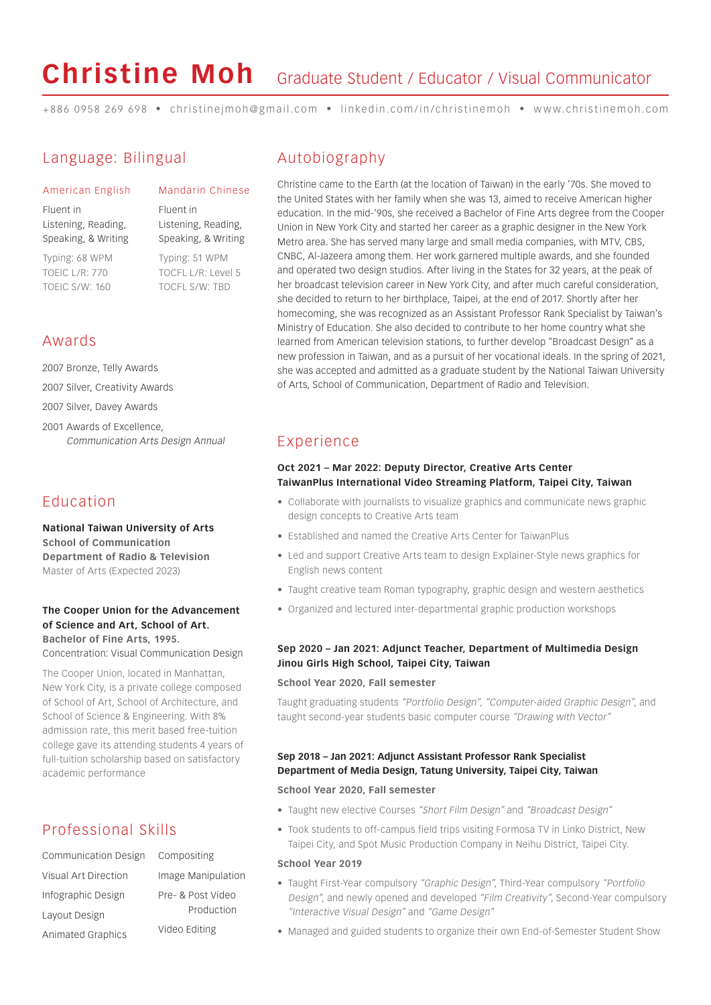# **Christine Moh**

# Graduate Student / Educator / Visual Communicator

+886 0958 269 698 • christinejmoh@gmail.com • linkedin.com/in/christinemoh • www.christinemoh.com

# Language: Bilingual

American English

Fluent in Listening, Reading, Speaking, & Writing

Typing: 68 WPM TOEIC L/R: 770 TOEIC S/W: 160

Fluent in Listening, Reading, Speaking, & Writing Typing: 51 WPM TOCFL L/R: Level 5 TOCFL S/W: TBD

Mandarin Chinese

## Awards

2007 Bronze, Telly Awards

2007 Silver, Creativity Awards

2007 Silver, Davey Awards

2001 Awards of Excellence, Communication Arts Design Annual

# Education

**National Taiwan University of Arts School of Communication Department of Radio & Television** Master of Arts (Expected 2023)

#### **The Cooper Union for the Advancement of Science and Art, School of Art. Bachelor of Fine Arts, 1995.**  Concentration: Visual Communication Design

The Cooper Union, located in Manhattan, New York City, is a private college composed of School of Art, School of Architecture, and School of Science & Engineering. With 8% admission rate, this merit based free-tuition college gave its attending students 4 years of full-tuition scholarship based on satisfactory academic performance

# Professional Skills

| Communication Design     | Cor |
|--------------------------|-----|
| Visual Art Direction     | Ima |
| Infographic Design       | Pre |
| Layout Design            |     |
| <b>Animated Graphics</b> | Vid |

| COHIDOSILIHK                    |
|---------------------------------|
| Image Manipulation              |
| Pre- & Post Video<br>Production |
| Video Editing                   |

Compositing

## Autobiography

Christine came to the Earth (at the location of Taiwan) in the early '70s. She moved to the United States with her family when she was 13, aimed to receive American higher education. In the mid-'90s, she received a Bachelor of Fine Arts degree from the Cooper Union in New York City and started her career as a graphic designer in the New York Metro area. She has served many large and small media companies, with MTV, CBS, CNBC, Al-Jazeera among them. Her work garnered multiple awards, and she founded and operated two design studios. After living in the States for 32 years, at the peak of her broadcast television career in New York City, and after much careful consideration, she decided to return to her birthplace, Taipei, at the end of 2017. Shortly after her homecoming, she was recognized as an Assistant Professor Rank Specialist by Taiwan's Ministry of Education. She also decided to contribute to her home country what she learned from American television stations, to further develop "Broadcast Design" as a new profession in Taiwan, and as a pursuit of her vocational ideals. In the spring of 2021, she was accepted and admitted as a graduate student by the National Taiwan University of Arts, School of Communication, Department of Radio and Television.

# Experience

#### **Oct 2021 – Mar 2022: Deputy Director, Creative Arts Center TaiwanPlus International Video Streaming Platform, Taipei City, Taiwan**

- Collaborate with journalists to visualize graphics and communicate news graphic design concepts to Creative Arts team
- Established and named the Creative Arts Center for TaiwanPlus
- Led and support Creative Arts team to design Explainer-Style news graphics for English news content
- Taught creative team Roman typography, graphic design and western aesthetics
- Organized and lectured inter-departmental graphic production workshops

#### **Sep 2020 – Jan 2021: Adjunct Teacher, Department of Multimedia Design Jinou Girls High School, Taipei City, Taiwan**

#### **School Year 2020, Fall semester**

Taught graduating students "Portfolio Design", "Computer-aided Graphic Design", and taught second-year students basic computer course "Drawing with Vector"

#### **Sep 2018 – Jan 2021: Adjunct Assistant Professor Rank Specialist Department of Media Design, Tatung University, Taipei City, Taiwan**

#### **School Year 2020, Fall semester**

- Taught new elective Courses "Short Film Design" and "Broadcast Design"
- Took students to off-campus field trips visiting Formosa TV in Linko District, New Taipei City, and Spot Music Production Company in Neihu District, Taipei City.

#### **School Year 2019**

- Taught First-Year compulsory "Graphic Design", Third-Year compulsory "Portfolio Design", and newly opened and developed "Film Creativity", Second-Year compulsory "Interactive Visual Design" and "Game Design"
- Managed and guided students to organize their own End-of-Semester Student Show